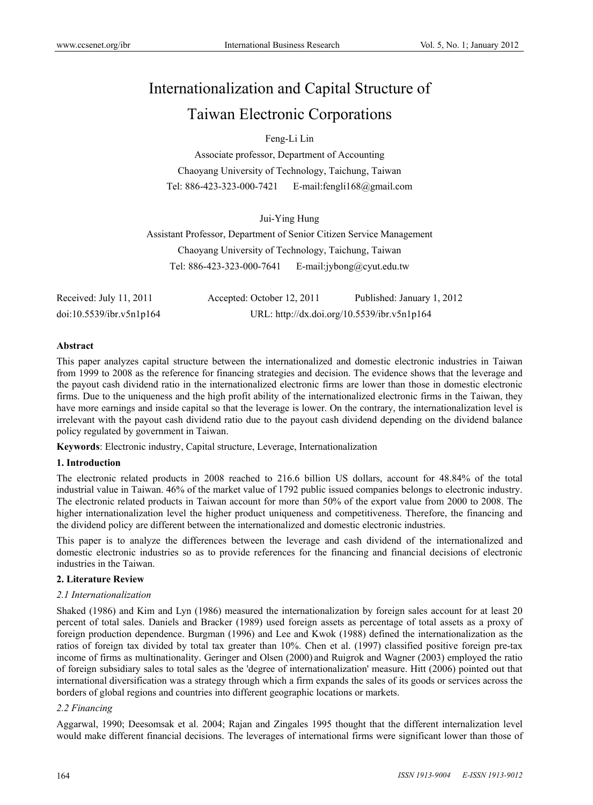# Internationalization and Capital Structure of Taiwan Electronic Corporations

Feng-Li Lin

Associate professor, Department of Accounting Chaoyang University of Technology, Taichung, Taiwan Tel: 886-423-323-000-7421 E-mail:fengli168@gmail.com

Jui-Ying Hung Assistant Professor, Department of Senior Citizen Service Management Chaoyang University of Technology, Taichung, Taiwan Tel: 886-423-323-000-7641 E-mail:jybong@cyut.edu.tw

Received: July 11, 2011 Accepted: October 12, 2011 Published: January 1, 2012 doi:10.5539/ibr.v5n1p164 URL: http://dx.doi.org/10.5539/ibr.v5n1p164

## **Abstract**

This paper analyzes capital structure between the internationalized and domestic electronic industries in Taiwan from 1999 to 2008 as the reference for financing strategies and decision. The evidence shows that the leverage and the payout cash dividend ratio in the internationalized electronic firms are lower than those in domestic electronic firms. Due to the uniqueness and the high profit ability of the internationalized electronic firms in the Taiwan, they have more earnings and inside capital so that the leverage is lower. On the contrary, the internationalization level is irrelevant with the payout cash dividend ratio due to the payout cash dividend depending on the dividend balance policy regulated by government in Taiwan.

**Keywords**: Electronic industry, Capital structure, Leverage, Internationalization

## **1. Introduction**

The electronic related products in 2008 reached to 216.6 billion US dollars, account for 48.84% of the total industrial value in Taiwan. 46% of the market value of 1792 public issued companies belongs to electronic industry. The electronic related products in Taiwan account for more than 50% of the export value from 2000 to 2008. The higher internationalization level the higher product uniqueness and competitiveness. Therefore, the financing and the dividend policy are different between the internationalized and domestic electronic industries.

This paper is to analyze the differences between the leverage and cash dividend of the internationalized and domestic electronic industries so as to provide references for the financing and financial decisions of electronic industries in the Taiwan.

## **2. Literature Review**

## *2.1 Internationalization*

Shaked (1986) and Kim and Lyn (1986) measured the internationalization by foreign sales account for at least 20 percent of total sales. Daniels and Bracker (1989) used foreign assets as percentage of total assets as a proxy of foreign production dependence. Burgman (1996) and Lee and Kwok (1988) defined the internationalization as the ratios of foreign tax divided by total tax greater than 10%. Chen et al. (1997) classified positive foreign pre-tax income of firms as multinationality. Geringer and Olsen (2000) and Ruigrok and Wagner (2003) employed the ratio of foreign subsidiary sales to total sales as the 'degree of internationalization' measure. Hitt (2006) pointed out that international diversification was a strategy through which a firm expands the sales of its goods or services across the borders of global regions and countries into different geographic locations or markets.

## *2.2 Financing*

Aggarwal, 1990; Deesomsak et al. 2004; Rajan and Zingales 1995 thought that the different internalization level would make different financial decisions. The leverages of international firms were significant lower than those of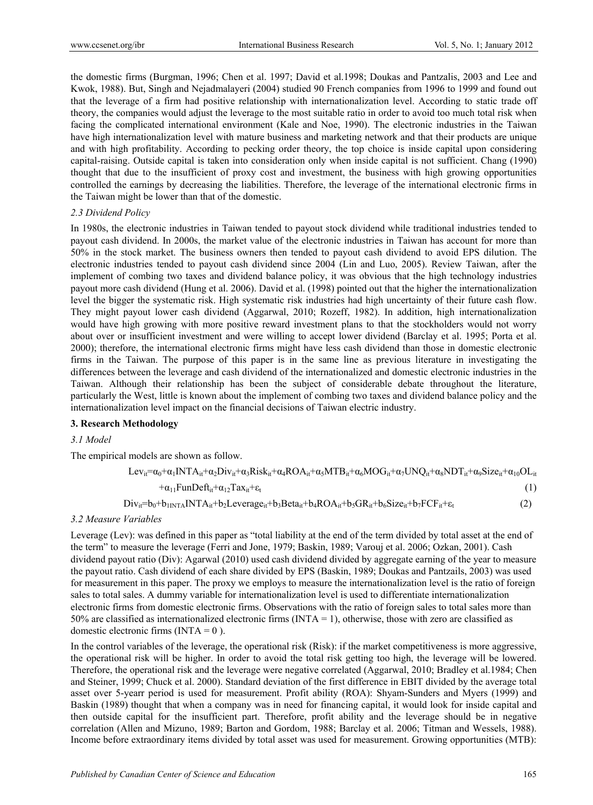the domestic firms (Burgman, 1996; Chen et al. 1997; David et al.1998; Doukas and Pantzalis, 2003 and Lee and Kwok, 1988). But, Singh and Nejadmalayeri (2004) studied 90 French companies from 1996 to 1999 and found out that the leverage of a firm had positive relationship with internationalization level. According to static trade off theory, the companies would adjust the leverage to the most suitable ratio in order to avoid too much total risk when facing the complicated international environment (Kale and Noe, 1990). The electronic industries in the Taiwan have high internationalization level with mature business and marketing network and that their products are unique and with high profitability. According to pecking order theory, the top choice is inside capital upon considering capital-raising. Outside capital is taken into consideration only when inside capital is not sufficient. Chang (1990) thought that due to the insufficient of proxy cost and investment, the business with high growing opportunities controlled the earnings by decreasing the liabilities. Therefore, the leverage of the international electronic firms in the Taiwan might be lower than that of the domestic.

## *2.3 Dividend Policy*

In 1980s, the electronic industries in Taiwan tended to payout stock dividend while traditional industries tended to payout cash dividend. In 2000s, the market value of the electronic industries in Taiwan has account for more than 50% in the stock market. The business owners then tended to payout cash dividend to avoid EPS dilution. The electronic industries tended to payout cash dividend since 2004 (Lin and Luo, 2005). Review Taiwan, after the implement of combing two taxes and dividend balance policy, it was obvious that the high technology industries payout more cash dividend (Hung et al. 2006). David et al. (1998) pointed out that the higher the internationalization level the bigger the systematic risk. High systematic risk industries had high uncertainty of their future cash flow. They might payout lower cash dividend (Aggarwal, 2010; Rozeff, 1982). In addition, high internationalization would have high growing with more positive reward investment plans to that the stockholders would not worry about over or insufficient investment and were willing to accept lower dividend (Barclay et al. 1995; Porta et al. 2000); therefore, the international electronic firms might have less cash dividend than those in domestic electronic firms in the Taiwan. The purpose of this paper is in the same line as previous literature in investigating the differences between the leverage and cash dividend of the internationalized and domestic electronic industries in the Taiwan. Although their relationship has been the subject of considerable debate throughout the literature, particularly the West, little is known about the implement of combing two taxes and dividend balance policy and the internationalization level impact on the financial decisions of Taiwan electric industry.

## **3. Research Methodology**

# *3.1 Model*

The empirical models are shown as follow.

$$
Lev_{it} = \alpha_0 + \alpha_1 INT A_{it} + \alpha_2 Div_{it} + \alpha_3 Risk_{it} + \alpha_4 ROA_{it} + \alpha_5 MTB_{it} + \alpha_6 MOG_{it} + \alpha_7 UNQ_{it} + \alpha_8 NDT_{it} + \alpha_9 Size_{it} + \alpha_{10} OL_{it}
$$

$$
+\alpha_{11}\text{FunDef}_{\mathfrak{t}_{i}}+\alpha_{12}\text{Tax}_{i}+\varepsilon_{t}
$$
\n
$$
\tag{1}
$$

$$
Div_{it} = b_0 + b_{1INTA} INTA_{it} + b_2 Leverage_{it} + b_3 Beta_{it} + b_4 ROA_{it} + b_5 GR_{it} + b_6 Size_{it} + b_7 FCF_{it} + \varepsilon_t
$$
\n(2)

# *3.2 Measure Variables*

Leverage (Lev): was defined in this paper as "total liability at the end of the term divided by total asset at the end of the term" to measure the leverage (Ferri and Jone, 1979; Baskin, 1989; Varouj et al. 2006; Ozkan, 2001). Cash dividend payout ratio (Div): Agarwal (2010) used cash dividend divided by aggregate earning of the year to measure the payout ratio. Cash dividend of each share divided by EPS (Baskin, 1989; Doukas and Pantzails, 2003) was used for measurement in this paper. The proxy we employs to measure the internationalization level is the ratio of foreign sales to total sales. A dummy variable for internationalization level is used to differentiate internationalization electronic firms from domestic electronic firms. Observations with the ratio of foreign sales to total sales more than 50% are classified as internationalized electronic firms  $(NTA = 1)$ , otherwise, those with zero are classified as domestic electronic firms  $(INTA = 0)$ .

In the control variables of the leverage, the operational risk (Risk): if the market competitiveness is more aggressive, the operational risk will be higher. In order to avoid the total risk getting too high, the leverage will be lowered. Therefore, the operational risk and the leverage were negative correlated (Aggarwal, 2010; Bradley et al.1984; Chen and Steiner, 1999; Chuck et al. 2000). Standard deviation of the first difference in EBIT divided by the average total asset over 5-yearr period is used for measurement. Profit ability (ROA): Shyam-Sunders and Myers (1999) and Baskin (1989) thought that when a company was in need for financing capital, it would look for inside capital and then outside capital for the insufficient part. Therefore, profit ability and the leverage should be in negative correlation (Allen and Mizuno, 1989; Barton and Gordom, 1988; Barclay et al. 2006; Titman and Wessels, 1988). Income before extraordinary items divided by total asset was used for measurement. Growing opportunities (MTB):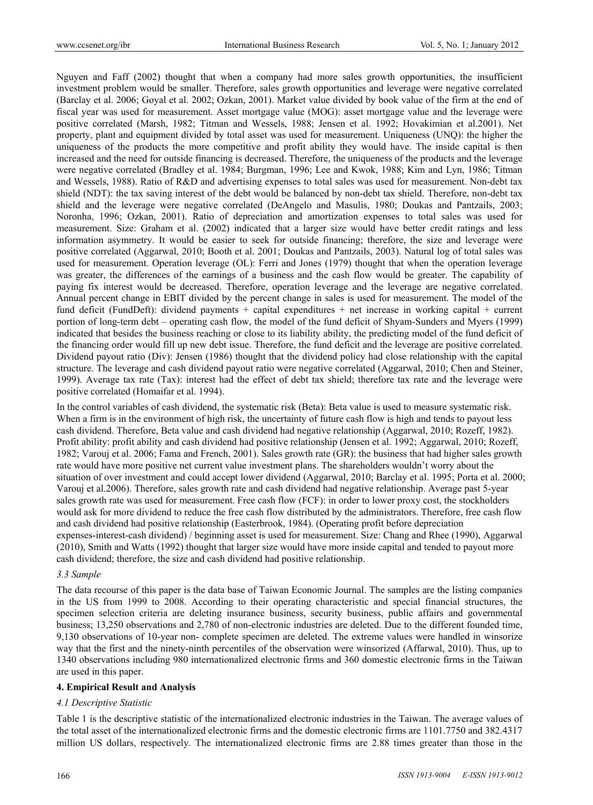Nguyen and Faff (2002) thought that when a company had more sales growth opportunities, the insufficient investment problem would be smaller. Therefore, sales growth opportunities and leverage were negative correlated (Barclay et al. 2006; Goyal et al. 2002; Ozkan, 2001). Market value divided by book value of the firm at the end of fiscal year was used for measurement. Asset mortgage value (MOG): asset mortgage value and the leverage were positive correlated (Marsh, 1982; Titman and Wessels, 1988; Jensen et al. 1992; Hovakimian et al.2001). Net property, plant and equipment divided by total asset was used for measurement. Uniqueness (UNQ): the higher the uniqueness of the products the more competitive and profit ability they would have. The inside capital is then increased and the need for outside financing is decreased. Therefore, the uniqueness of the products and the leverage were negative correlated (Bradley et al. 1984; Burgman, 1996; Lee and Kwok, 1988; Kim and Lyn, 1986; Titman and Wessels, 1988). Ratio of R&D and advertising expenses to total sales was used for measurement. Non-debt tax shield (NDT): the tax saving interest of the debt would be balanced by non-debt tax shield. Therefore, non-debt tax shield and the leverage were negative correlated (DeAngelo and Masulis, 1980; Doukas and Pantzails, 2003; Noronha, 1996; Ozkan, 2001). Ratio of depreciation and amortization expenses to total sales was used for measurement. Size: Graham et al. (2002) indicated that a larger size would have better credit ratings and less information asymmetry. It would be easier to seek for outside financing; therefore, the size and leverage were positive correlated (Aggarwal, 2010; Booth et al. 2001; Doukas and Pantzails, 2003). Natural log of total sales was used for measurement. Operation leverage (OL): Ferri and Jones (1979) thought that when the operation leverage was greater, the differences of the earnings of a business and the cash flow would be greater. The capability of paying fix interest would be decreased. Therefore, operation leverage and the leverage are negative correlated. Annual percent change in EBIT divided by the percent change in sales is used for measurement. The model of the fund deficit (FundDeft): dividend payments + capital expenditures + net increase in working capital + current portion of long-term debt – operating cash flow, the model of the fund deficit of Shyam-Sunders and Myers (1999) indicated that besides the business reaching or close to its liability ability, the predicting model of the fund deficit of the financing order would fill up new debt issue. Therefore, the fund deficit and the leverage are positive correlated. Dividend payout ratio (Div): Jensen (1986) thought that the dividend policy had close relationship with the capital structure. The leverage and cash dividend payout ratio were negative correlated (Aggarwal, 2010; Chen and Steiner, 1999). Average tax rate (Tax): interest had the effect of debt tax shield; therefore tax rate and the leverage were positive correlated (Homaifar et al. 1994).

In the control variables of cash dividend, the systematic risk (Beta): Beta value is used to measure systematic risk. When a firm is in the environment of high risk, the uncertainty of future cash flow is high and tends to payout less cash dividend. Therefore, Beta value and cash dividend had negative relationship (Aggarwal, 2010; Rozeff, 1982). Profit ability: profit ability and cash dividend had positive relationship (Jensen et al. 1992; Aggarwal, 2010; Rozeff, 1982; Varouj et al. 2006; Fama and French, 2001). Sales growth rate (GR): the business that had higher sales growth rate would have more positive net current value investment plans. The shareholders wouldn't worry about the situation of over investment and could accept lower dividend (Aggarwal, 2010; Barclay et al. 1995; Porta et al. 2000; Varouj et al.2006). Therefore, sales growth rate and cash dividend had negative relationship. Average past 5-year sales growth rate was used for measurement. Free cash flow (FCF): in order to lower proxy cost, the stockholders would ask for more dividend to reduce the free cash flow distributed by the administrators. Therefore, free cash flow and cash dividend had positive relationship (Easterbrook, 1984). (Operating profit before depreciation expenses-interest-cash dividend) / beginning asset is used for measurement. Size: Chang and Rhee (1990), Aggarwal (2010), Smith and Watts (1992) thought that larger size would have more inside capital and tended to payout more cash dividend; therefore, the size and cash dividend had positive relationship.

#### *3.3 Sample*

The data recourse of this paper is the data base of Taiwan Economic Journal. The samples are the listing companies in the US from 1999 to 2008. According to their operating characteristic and special financial structures, the specimen selection criteria are deleting insurance business, security business, public affairs and governmental business; 13,250 observations and 2,780 of non-electronic industries are deleted. Due to the different founded time, 9,130 observations of 10-year non- complete specimen are deleted. The extreme values were handled in winsorize way that the first and the ninety-ninth percentiles of the observation were winsorized (Affarwal, 2010). Thus, up to 1340 observations including 980 internationalized electronic firms and 360 domestic electronic firms in the Taiwan are used in this paper.

#### **4. Empirical Result and Analysis**

#### *4.1 Descriptive Statistic*

Table 1 is the descriptive statistic of the internationalized electronic industries in the Taiwan. The average values of the total asset of the internationalized electronic firms and the domestic electronic firms are 1101.7750 and 382.4317 million US dollars, respectively. The internationalized electronic firms are 2.88 times greater than those in the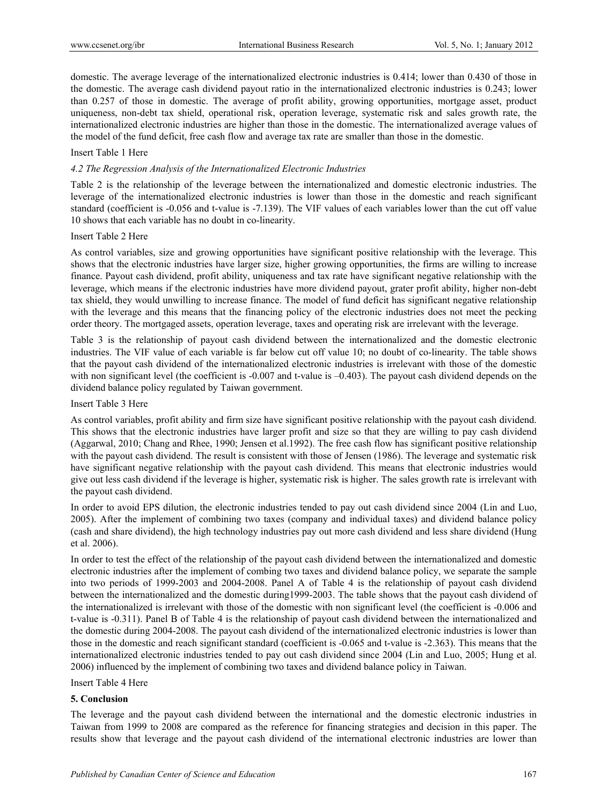domestic. The average leverage of the internationalized electronic industries is 0.414; lower than 0.430 of those in the domestic. The average cash dividend payout ratio in the internationalized electronic industries is 0.243; lower than 0.257 of those in domestic. The average of profit ability, growing opportunities, mortgage asset, product uniqueness, non-debt tax shield, operational risk, operation leverage, systematic risk and sales growth rate, the internationalized electronic industries are higher than those in the domestic. The internationalized average values of the model of the fund deficit, free cash flow and average tax rate are smaller than those in the domestic.

## Insert Table 1 Here

## *4.2 The Regression Analysis of the Internationalized Electronic Industries*

Table 2 is the relationship of the leverage between the internationalized and domestic electronic industries. The leverage of the internationalized electronic industries is lower than those in the domestic and reach significant standard (coefficient is -0.056 and t-value is -7.139). The VIF values of each variables lower than the cut off value 10 shows that each variable has no doubt in co-linearity.

## Insert Table 2 Here

As control variables, size and growing opportunities have significant positive relationship with the leverage. This shows that the electronic industries have larger size, higher growing opportunities, the firms are willing to increase finance. Payout cash dividend, profit ability, uniqueness and tax rate have significant negative relationship with the leverage, which means if the electronic industries have more dividend payout, grater profit ability, higher non-debt tax shield, they would unwilling to increase finance. The model of fund deficit has significant negative relationship with the leverage and this means that the financing policy of the electronic industries does not meet the pecking order theory. The mortgaged assets, operation leverage, taxes and operating risk are irrelevant with the leverage.

Table 3 is the relationship of payout cash dividend between the internationalized and the domestic electronic industries. The VIF value of each variable is far below cut off value 10; no doubt of co-linearity. The table shows that the payout cash dividend of the internationalized electronic industries is irrelevant with those of the domestic with non significant level (the coefficient is -0.007 and t-value is -0.403). The payout cash dividend depends on the dividend balance policy regulated by Taiwan government.

## Insert Table 3 Here

As control variables, profit ability and firm size have significant positive relationship with the payout cash dividend. This shows that the electronic industries have larger profit and size so that they are willing to pay cash dividend (Aggarwal, 2010; Chang and Rhee, 1990; Jensen et al.1992). The free cash flow has significant positive relationship with the payout cash dividend. The result is consistent with those of Jensen (1986). The leverage and systematic risk have significant negative relationship with the payout cash dividend. This means that electronic industries would give out less cash dividend if the leverage is higher, systematic risk is higher. The sales growth rate is irrelevant with the payout cash dividend.

In order to avoid EPS dilution, the electronic industries tended to pay out cash dividend since 2004 (Lin and Luo, 2005). After the implement of combining two taxes (company and individual taxes) and dividend balance policy (cash and share dividend), the high technology industries pay out more cash dividend and less share dividend (Hung et al. 2006).

In order to test the effect of the relationship of the payout cash dividend between the internationalized and domestic electronic industries after the implement of combing two taxes and dividend balance policy, we separate the sample into two periods of 1999-2003 and 2004-2008. Panel A of Table 4 is the relationship of payout cash dividend between the internationalized and the domestic during1999-2003. The table shows that the payout cash dividend of the internationalized is irrelevant with those of the domestic with non significant level (the coefficient is -0.006 and t-value is -0.311). Panel B of Table 4 is the relationship of payout cash dividend between the internationalized and the domestic during 2004-2008. The payout cash dividend of the internationalized electronic industries is lower than those in the domestic and reach significant standard (coefficient is -0.065 and t-value is -2.363). This means that the internationalized electronic industries tended to pay out cash dividend since 2004 (Lin and Luo, 2005; Hung et al. 2006) influenced by the implement of combining two taxes and dividend balance policy in Taiwan.

## Insert Table 4 Here

## **5. Conclusion**

The leverage and the payout cash dividend between the international and the domestic electronic industries in Taiwan from 1999 to 2008 are compared as the reference for financing strategies and decision in this paper. The results show that leverage and the payout cash dividend of the international electronic industries are lower than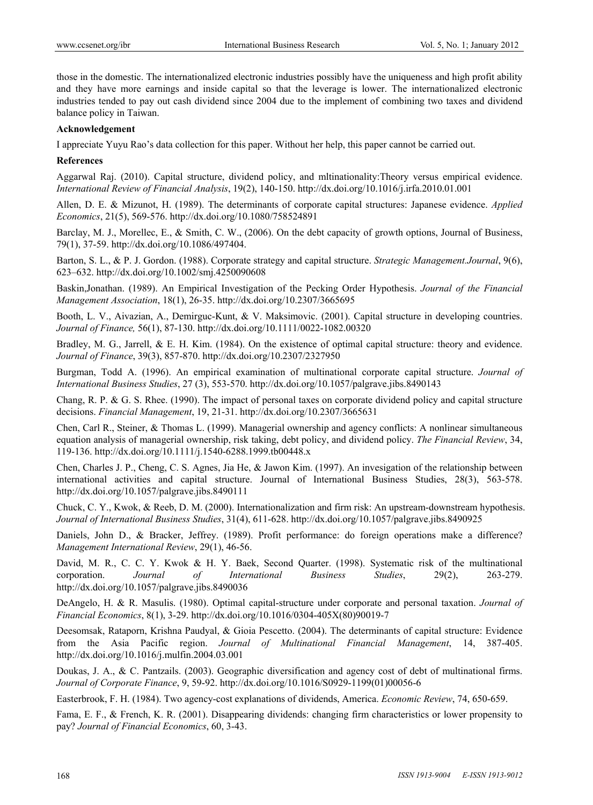those in the domestic. The internationalized electronic industries possibly have the uniqueness and high profit ability and they have more earnings and inside capital so that the leverage is lower. The internationalized electronic industries tended to pay out cash dividend since 2004 due to the implement of combining two taxes and dividend balance policy in Taiwan.

#### **Acknowledgement**

I appreciate Yuyu Rao's data collection for this paper. Without her help, this paper cannot be carried out.

#### **References**

Aggarwal Raj. (2010). Capital structure, dividend policy, and mltinationality:Theory versus empirical evidence. *International Review of Financial Analysis*, 19(2), 140-150. http://dx.doi.org/10.1016/j.irfa.2010.01.001

Allen, D. E. & Mizunot, H. (1989). The determinants of corporate capital structures: Japanese evidence. *Applied Economics*, 21(5), 569-576. http://dx.doi.org/10.1080/758524891

Barclay, M. J., Morellec, E., & Smith, C. W., (2006). On the debt capacity of growth options, Journal of Business, 79(1), 37-59. http://dx.doi.org/10.1086/497404.

Barton, S. L., & P. J. Gordon. (1988). Corporate strategy and capital structure. *Strategic Management.Journal*, 9(6), 623–632. http://dx.doi.org/10.1002/smj.4250090608

Baskin,Jonathan. (1989). An Empirical Investigation of the Pecking Order Hypothesis. *Journal of the Financial Management Association*, 18(1), 26-35. http://dx.doi.org/10.2307/3665695

Booth, L. V., Aivazian, A., Demirguc-Kunt, & V. Maksimovic. (2001). Capital structure in developing countries. *Journal of Finance,* 56(1), 87-130. http://dx.doi.org/10.1111/0022-1082.00320

Bradley, M. G., Jarrell, & E. H. Kim. (1984). On the existence of optimal capital structure: theory and evidence. *Journal of Finance*, 39(3), 857-870. http://dx.doi.org/10.2307/2327950

Burgman, Todd A. (1996). An empirical examination of multinational corporate capital structure. *Journal of International Business Studies*, 27 (3), 553-570. http://dx.doi.org/10.1057/palgrave.jibs.8490143

Chang, R. P. & G. S. Rhee. (1990). The impact of personal taxes on corporate dividend policy and capital structure decisions. *Financial Management*, 19, 21-31. http://dx.doi.org/10.2307/3665631

Chen, Carl R., Steiner, & Thomas L. (1999). Managerial ownership and agency conflicts: A nonlinear simultaneous equation analysis of managerial ownership, risk taking, debt policy, and dividend policy. *The Financial Review*, 34, 119-136. http://dx.doi.org/10.1111/j.1540-6288.1999.tb00448.x

Chen, Charles J. P., Cheng, C. S. Agnes, Jia He, & Jawon Kim. (1997). An invesigation of the relationship between international activities and capital structure. Journal of International Business Studies, 28(3), 563-578. http://dx.doi.org/10.1057/palgrave.jibs.8490111

Chuck, C. Y., Kwok, & Reeb, D. M. (2000). Internationalization and firm risk: An upstream-downstream hypothesis. *Journal of International Business Studies*, 31(4), 611-628. http://dx.doi.org/10.1057/palgrave.jibs.8490925

Daniels, John D., & Bracker, Jeffrey. (1989). Profit performance: do foreign operations make a difference? *Management International Review*, 29(1), 46-56.

David, M. R., C. C. Y. Kwok & H. Y. Baek, Second Quarter. (1998). Systematic risk of the multinational corporation. *Journal of International Business Studies*, 29(2), 263-279. http://dx.doi.org/10.1057/palgrave.jibs.8490036

DeAngelo, H. & R. Masulis. (1980). Optimal capital-structure under corporate and personal taxation. *Journal of Financial Economics*, 8(1), 3-29. http://dx.doi.org/10.1016/0304-405X(80)90019-7

Deesomsak, Rataporn, Krishna Paudyal, & Gioia Pescetto. (2004). The determinants of capital structure: Evidence from the Asia Pacific region. *Journal of Multinational Financial Management*, 14, 387-405. http://dx.doi.org/10.1016/j.mulfin.2004.03.001

Doukas, J. A., & C. Pantzails. (2003). Geographic diversification and agency cost of debt of multinational firms. *Journal of Corporate Finance*, 9, 59-92. http://dx.doi.org/10.1016/S0929-1199(01)00056-6

Easterbrook, F. H. (1984). Two agency-cost explanations of dividends, America. *Economic Review*, 74, 650-659.

Fama, E. F., & French, K. R. (2001). Disappearing dividends: changing firm characteristics or lower propensity to pay? *Journal of Financial Economics*, 60, 3-43.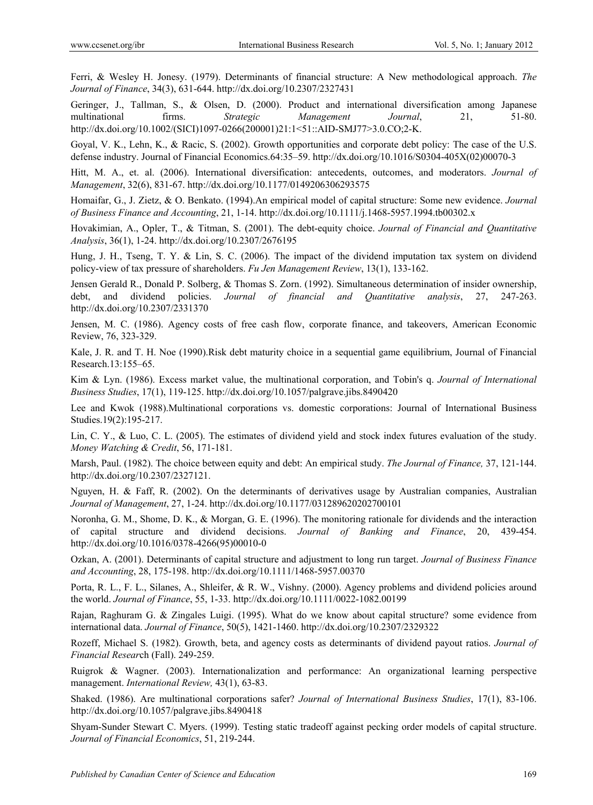Ferri, & Wesley H. Jonesy. (1979). Determinants of financial structure: A New methodological approach. *The Journal of Finance*, 34(3), 631-644. http://dx.doi.org/10.2307/2327431

Geringer, J., Tallman, S., & Olsen, D. (2000). Product and international diversification among Japanese multinational firms. *Strategic Management Journal*, 21, 51-80. http://dx.doi.org/10.1002/(SICI)1097-0266(200001)21:1<51::AID-SMJ77>3.0.CO;2-K.

Goyal, V. K., Lehn, K., & Racic, S. (2002). Growth opportunities and corporate debt policy: The case of the U.S. defense industry. Journal of Financial Economics.64:35–59. http://dx.doi.org/10.1016/S0304-405X(02)00070-3

Hitt, M. A., et. al. (2006). International diversification: antecedents, outcomes, and moderators. *Journal of Management*, 32(6), 831-67. http://dx.doi.org/10.1177/0149206306293575

Homaifar, G., J. Zietz, & O. Benkato. (1994).An empirical model of capital structure: Some new evidence. *Journal of Business Finance and Accounting*, 21, 1-14. http://dx.doi.org/10.1111/j.1468-5957.1994.tb00302.x

Hovakimian, A., Opler, T., & Titman, S. (2001). The debt-equity choice. *Journal of Financial and Quantitative Analysis*, 36(1), 1-24. http://dx.doi.org/10.2307/2676195

Hung, J. H., Tseng, T. Y. & Lin, S. C. (2006). The impact of the dividend imputation tax system on dividend policy-view of tax pressure of shareholders. *Fu Jen Management Review*, 13(1), 133-162.

Jensen Gerald R., Donald P. Solberg, & Thomas S. Zorn. (1992). Simultaneous determination of insider ownership, debt, and dividend policies. *Journal of financial and Quantitative analysis*, 27, 247-263. http://dx.doi.org/10.2307/2331370

Jensen, M. C. (1986). Agency costs of free cash flow, corporate finance, and takeovers, American Economic Review, 76, 323-329.

Kale, J. R. and T. H. Noe (1990).Risk debt maturity choice in a sequential game equilibrium, Journal of Financial Research.13:155–65.

Kim & Lyn. (1986). Excess market value, the multinational corporation, and Tobin's q. *Journal of International Business Studies*, 17(1), 119-125. http://dx.doi.org/10.1057/palgrave.jibs.8490420

Lee and Kwok (1988).Multinational corporations vs. domestic corporations: Journal of International Business Studies.19(2):195-217.

Lin, C. Y., & Luo, C. L. (2005). The estimates of dividend yield and stock index futures evaluation of the study. *Money Watching & Credit*, 56, 171-181.

Marsh, Paul. (1982). The choice between equity and debt: An empirical study. *The Journal of Finance,* 37, 121-144. http://dx.doi.org/10.2307/2327121.

Nguyen, H. & Faff, R. (2002). On the determinants of derivatives usage by Australian companies, Australian *Journal of Management*, 27, 1-24. http://dx.doi.org/10.1177/031289620202700101

Noronha, G. M., Shome, D. K., & Morgan, G. E. (1996). The monitoring rationale for dividends and the interaction of capital structure and dividend decisions. *Journal of Banking and Finance*, 20, 439-454. http://dx.doi.org/10.1016/0378-4266(95)00010-0

Ozkan, A. (2001). Determinants of capital structure and adjustment to long run target. *Journal of Business Finance and Accounting*, 28, 175-198. http://dx.doi.org/10.1111/1468-5957.00370

Porta, R. L., F. L., Silanes, A., Shleifer, & R. W., Vishny. (2000). Agency problems and dividend policies around the world. *Journal of Finance*, 55, 1-33. http://dx.doi.org/10.1111/0022-1082.00199

Rajan, Raghuram G. & Zingales Luigi. (1995). What do we know about capital structure? some evidence from international data. *Journal of Finance*, 50(5), 1421-1460. http://dx.doi.org/10.2307/2329322

Rozeff, Michael S. (1982). Growth, beta, and agency costs as determinants of dividend payout ratios. *Journal of Financial Resear*ch (Fall). 249-259.

Ruigrok & Wagner. (2003). Internationalization and performance: An organizational learning perspective management. *International Review,* 43(1), 63-83.

Shaked. (1986). Are multinational corporations safer? *Journal of International Business Studies*, 17(1), 83-106. http://dx.doi.org/10.1057/palgrave.jibs.8490418

Shyam-Sunder Stewart C. Myers. (1999). Testing static tradeoff against pecking order models of capital structure. *Journal of Financial Economics*, 51, 219-244.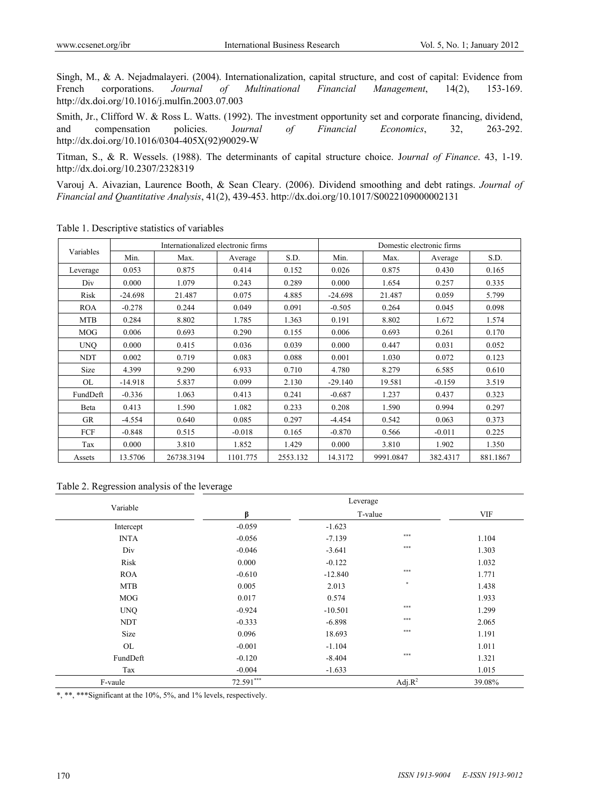Singh, M., & A. Nejadmalayeri. (2004). Internationalization, capital structure, and cost of capital: Evidence from French corporations. *Journal of Multinational Financial Management*, 14(2), 153-169. http://dx.doi.org/10.1016/j.mulfin.2003.07.003

Smith, Jr., Clifford W. & Ross L. Watts. (1992). The investment opportunity set and corporate financing, dividend, and compensation policies. J*ournal of Financial Economics*, 32, 263-292. http://dx.doi.org/10.1016/0304-405X(92)90029-W

Titman, S., & R. Wessels. (1988). The determinants of capital structure choice. J*ournal of Finance*. 43, 1-19. http://dx.doi.org/10.2307/2328319

Varouj A. Aivazian, Laurence Booth, & Sean Cleary. (2006). Dividend smoothing and debt ratings. *Journal of Financial and Quantitative Analysis*, 41(2), 439-453. http://dx.doi.org/10.1017/S0022109000002131

| Variables  | Internationalized electronic firms |            |          | Domestic electronic firms |           |           |          |          |
|------------|------------------------------------|------------|----------|---------------------------|-----------|-----------|----------|----------|
|            | Min.                               | Max.       | Average  | S.D.                      | Min.      | Max.      | Average  | S.D.     |
| Leverage   | 0.053                              | 0.875      | 0.414    | 0.152                     | 0.026     | 0.875     | 0.430    | 0.165    |
| Div        | 0.000                              | 1.079      | 0.243    | 0.289                     | 0.000     | 1.654     | 0.257    | 0.335    |
| Risk       | $-24.698$                          | 21.487     | 0.075    | 4.885                     | $-24.698$ | 21.487    | 0.059    | 5.799    |
| <b>ROA</b> | $-0.278$                           | 0.244      | 0.049    | 0.091                     | $-0.505$  | 0.264     | 0.045    | 0.098    |
| <b>MTB</b> | 0.284                              | 8.802      | 1.785    | 1.363                     | 0.191     | 8.802     | 1.672    | 1.574    |
| <b>MOG</b> | 0.006                              | 0.693      | 0.290    | 0.155                     | 0.006     | 0.693     | 0.261    | 0.170    |
| <b>UNO</b> | 0.000                              | 0.415      | 0.036    | 0.039                     | 0.000     | 0.447     | 0.031    | 0.052    |
| <b>NDT</b> | 0.002                              | 0.719      | 0.083    | 0.088                     | 0.001     | 1.030     | 0.072    | 0.123    |
| Size       | 4.399                              | 9.290      | 6.933    | 0.710                     | 4.780     | 8.279     | 6.585    | 0.610    |
| <b>OL</b>  | $-14.918$                          | 5.837      | 0.099    | 2.130                     | $-29.140$ | 19.581    | $-0.159$ | 3.519    |
| FundDeft   | $-0.336$                           | 1.063      | 0.413    | 0.241                     | $-0.687$  | 1.237     | 0.437    | 0.323    |
| Beta       | 0.413                              | 1.590      | 1.082    | 0.233                     | 0.208     | 1.590     | 0.994    | 0.297    |
| <b>GR</b>  | $-4.554$                           | 0.640      | 0.085    | 0.297                     | $-4.454$  | 0.542     | 0.063    | 0.373    |
| FCF        | $-0.848$                           | 0.515      | $-0.018$ | 0.165                     | $-0.870$  | 0.566     | $-0.011$ | 0.225    |
| Tax        | 0.000                              | 3.810      | 1.852    | 1.429                     | 0.000     | 3.810     | 1.902    | 1.350    |
| Assets     | 13.5706                            | 26738.3194 | 1101.775 | 2553.132                  | 14.3172   | 9991.0847 | 382.4317 | 881.1867 |

Table 1. Descriptive statistics of variables

| Table 2. Regression analysis of the leverage |  |  |
|----------------------------------------------|--|--|

| Variable    |             | Leverage  |            |            |
|-------------|-------------|-----------|------------|------------|
|             | ß           | T-value   |            | <b>VIF</b> |
| Intercept   | $-0.059$    | $-1.623$  |            |            |
| <b>INTA</b> | $-0.056$    | $-7.139$  | $***$      | 1.104      |
| Div         | $-0.046$    | $-3.641$  | $***$      | 1.303      |
| Risk        | 0.000       | $-0.122$  |            | 1.032      |
| <b>ROA</b>  | $-0.610$    | $-12.840$ | $***$      | 1.771      |
| <b>MTB</b>  | 0.005       | 2.013     | $\ast$     | 1.438      |
| <b>MOG</b>  | 0.017       | 0.574     |            | 1.933      |
| <b>UNQ</b>  | $-0.924$    | $-10.501$ | $***$      | 1.299      |
| <b>NDT</b>  | $-0.333$    | $-6.898$  | $***$      | 2.065      |
| Size        | 0.096       | 18.693    | $***$      | 1.191      |
| OL          | $-0.001$    | $-1.104$  |            | 1.011      |
| FundDeft    | $-0.120$    | $-8.404$  | $***$      | 1.321      |
| Tax         | $-0.004$    | $-1.633$  |            | 1.015      |
| F-vaule     | $72.591***$ |           | Adj. $R^2$ | 39.08%     |

\*, \*\*, \*\*\*Significant at the 10%, 5%, and 1% levels, respectively.